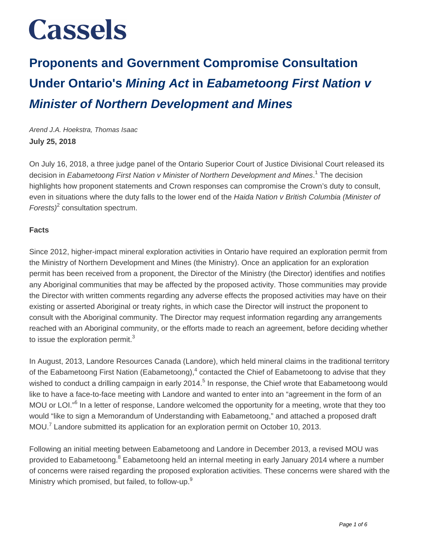### **Proponents and Government Compromise Consultation Under Ontario's Mining Act in Eabametoong First Nation v Minister of Northern Development and Mines**

Arend J.A. Hoekstra, Thomas Isaac **July 25, 2018**

On July 16, 2018, a three judge panel of the Ontario Superior Court of Justice Divisional Court released its decision in *Eabametoong First Nation v Minister of Northern Development and Mines*.<sup>1</sup> The decision highlights how proponent statements and Crown responses can compromise the Crown's duty to consult, even in situations where the duty falls to the lower end of the Haida Nation v British Columbia (Minister of Forests) $^2$  consultation spectrum.

#### **Facts**

Since 2012, higher-impact mineral exploration activities in Ontario have required an exploration permit from the Ministry of Northern Development and Mines (the Ministry). Once an application for an exploration permit has been received from a proponent, the Director of the Ministry (the Director) identifies and notifies any Aboriginal communities that may be affected by the proposed activity. Those communities may provide the Director with written comments regarding any adverse effects the proposed activities may have on their existing or asserted Aboriginal or treaty rights, in which case the Director will instruct the proponent to consult with the Aboriginal community. The Director may request information regarding any arrangements reached with an Aboriginal community, or the efforts made to reach an agreement, before deciding whether to issue the exploration permit.<sup>3</sup>

In August, 2013, Landore Resources Canada (Landore), which held mineral claims in the traditional territory of the Eabametoong First Nation (Eabametoong),<sup>4</sup> contacted the Chief of Eabametoong to advise that they wished to conduct a drilling campaign in early 2014.<sup>5</sup> In response, the Chief wrote that Eabametoong would like to have a face-to-face meeting with Landore and wanted to enter into an "agreement in the form of an MOU or LOI."<sup>6</sup> In a letter of response, Landore welcomed the opportunity for a meeting, wrote that they too would "like to sign a Memorandum of Understanding with Eabametoong," and attached a proposed draft MOU.<sup>7</sup> Landore submitted its application for an exploration permit on October 10, 2013.

Following an initial meeting between Eabametoong and Landore in December 2013, a revised MOU was provided to Eabametoong.<sup>8</sup> Eabametoong held an internal meeting in early January 2014 where a number of concerns were raised regarding the proposed exploration activities. These concerns were shared with the Ministry which promised, but failed, to follow-up.<sup>9</sup>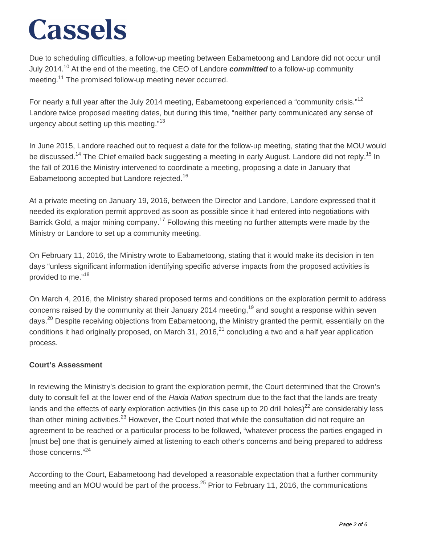Due to scheduling difficulties, a follow-up meeting between Eabametoong and Landore did not occur until July 2014.<sup>10</sup> At the end of the meeting, the CEO of Landore **committed** to a follow-up community meeting.<sup>11</sup> The promised follow-up meeting never occurred.

For nearly a full year after the July 2014 meeting, Eabametoong experienced a "community crisis."<sup>12</sup> Landore twice proposed meeting dates, but during this time, "neither party communicated any sense of urgency about setting up this meeting."<sup>13</sup>

In June 2015, Landore reached out to request a date for the follow-up meeting, stating that the MOU would be discussed.<sup>14</sup> The Chief emailed back suggesting a meeting in early August. Landore did not reply.<sup>15</sup> In the fall of 2016 the Ministry intervened to coordinate a meeting, proposing a date in January that Eabametoong accepted but Landore rejected.<sup>16</sup>

At a private meeting on January 19, 2016, between the Director and Landore, Landore expressed that it needed its exploration permit approved as soon as possible since it had entered into negotiations with Barrick Gold, a major mining company.<sup>17</sup> Following this meeting no further attempts were made by the Ministry or Landore to set up a community meeting.

On February 11, 2016, the Ministry wrote to Eabametoong, stating that it would make its decision in ten days "unless significant information identifying specific adverse impacts from the proposed activities is provided to me."<sup>18</sup>

On March 4, 2016, the Ministry shared proposed terms and conditions on the exploration permit to address concerns raised by the community at their January 2014 meeting,<sup>19</sup> and sought a response within seven davs.<sup>20</sup> Despite receiving objections from Eabametoong, the Ministry granted the permit, essentially on the conditions it had originally proposed, on March 31, 2016, $^{21}$  concluding a two and a half year application process.

### **Court's Assessment**

In reviewing the Ministry's decision to grant the exploration permit, the Court determined that the Crown's duty to consult fell at the lower end of the Haida Nation spectrum due to the fact that the lands are treaty lands and the effects of early exploration activities (in this case up to 20 drill holes)<sup>22</sup> are considerably less than other mining activities.<sup>23</sup> However, the Court noted that while the consultation did not require an agreement to be reached or a particular process to be followed, "whatever process the parties engaged in [must be] one that is genuinely aimed at listening to each other's concerns and being prepared to address those concerns."<sup>24</sup>

According to the Court, Eabametoong had developed a reasonable expectation that a further community meeting and an MOU would be part of the process.<sup>25</sup> Prior to February 11, 2016, the communications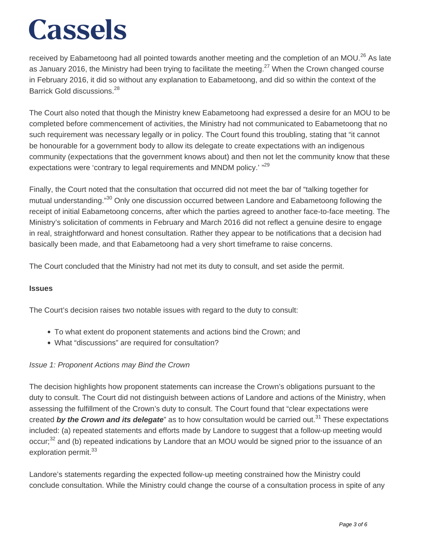received by Eabametoong had all pointed towards another meeting and the completion of an MOU.<sup>26</sup> As late as January 2016, the Ministry had been trying to facilitate the meeting.<sup>27</sup> When the Crown changed course in February 2016, it did so without any explanation to Eabametoong, and did so within the context of the Barrick Gold discussions.<sup>28</sup>

The Court also noted that though the Ministry knew Eabametoong had expressed a desire for an MOU to be completed before commencement of activities, the Ministry had not communicated to Eabametoong that no such requirement was necessary legally or in policy. The Court found this troubling, stating that "it cannot be honourable for a government body to allow its delegate to create expectations with an indigenous community (expectations that the government knows about) and then not let the community know that these expectations were 'contrary to legal requirements and MNDM policy.' "<sup>29</sup>

Finally, the Court noted that the consultation that occurred did not meet the bar of "talking together for mutual understanding."<sup>30</sup> Only one discussion occurred between Landore and Eabametoong following the receipt of initial Eabametoong concerns, after which the parties agreed to another face-to-face meeting. The Ministry's solicitation of comments in February and March 2016 did not reflect a genuine desire to engage in real, straightforward and honest consultation. Rather they appear to be notifications that a decision had basically been made, and that Eabametoong had a very short timeframe to raise concerns.

The Court concluded that the Ministry had not met its duty to consult, and set aside the permit.

#### **Issues**

The Court's decision raises two notable issues with regard to the duty to consult:

- To what extent do proponent statements and actions bind the Crown; and
- What "discussions" are required for consultation?

#### Issue 1: Proponent Actions may Bind the Crown

The decision highlights how proponent statements can increase the Crown's obligations pursuant to the duty to consult. The Court did not distinguish between actions of Landore and actions of the Ministry, when assessing the fulfillment of the Crown's duty to consult. The Court found that "clear expectations were created by the Crown and its delegate" as to how consultation would be carried out.<sup>31</sup> These expectations included: (a) repeated statements and efforts made by Landore to suggest that a follow-up meeting would occur;<sup>32</sup> and (b) repeated indications by Landore that an MOU would be signed prior to the issuance of an exploration permit.<sup>33</sup>

Landore's statements regarding the expected follow-up meeting constrained how the Ministry could conclude consultation. While the Ministry could change the course of a consultation process in spite of any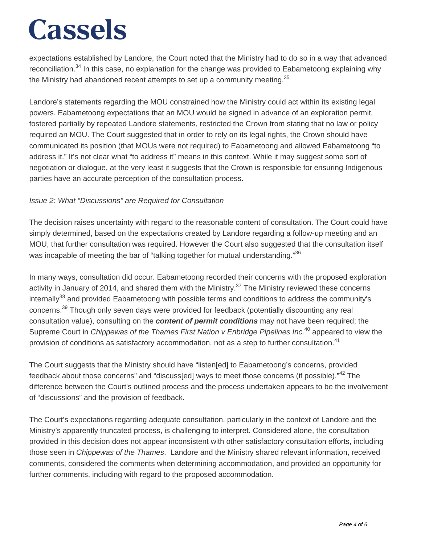expectations established by Landore, the Court noted that the Ministry had to do so in a way that advanced reconciliation.<sup>34</sup> In this case, no explanation for the change was provided to Eabametoong explaining why the Ministry had abandoned recent attempts to set up a community meeting.  $35$ 

Landore's statements regarding the MOU constrained how the Ministry could act within its existing legal powers. Eabametoong expectations that an MOU would be signed in advance of an exploration permit, fostered partially by repeated Landore statements, restricted the Crown from stating that no law or policy required an MOU. The Court suggested that in order to rely on its legal rights, the Crown should have communicated its position (that MOUs were not required) to Eabametoong and allowed Eabametoong "to address it." It's not clear what "to address it" means in this context. While it may suggest some sort of negotiation or dialogue, at the very least it suggests that the Crown is responsible for ensuring Indigenous parties have an accurate perception of the consultation process.

### Issue 2: What "Discussions" are Required for Consultation

The decision raises uncertainty with regard to the reasonable content of consultation. The Court could have simply determined, based on the expectations created by Landore regarding a follow-up meeting and an MOU, that further consultation was required. However the Court also suggested that the consultation itself was incapable of meeting the bar of "talking together for mutual understanding."<sup>36</sup>

In many ways, consultation did occur. Eabametoong recorded their concerns with the proposed exploration activity in January of 2014, and shared them with the Ministry.<sup>37</sup> The Ministry reviewed these concerns internally<sup>38</sup> and provided Eabametoong with possible terms and conditions to address the community's concerns.<sup>39</sup> Though only seven days were provided for feedback (potentially discounting any real consultation value), consulting on the **content of permit conditions** may not have been required; the Supreme Court in Chippewas of the Thames First Nation v Enbridge Pipelines Inc.<sup>40</sup> appeared to view the provision of conditions as satisfactory accommodation, not as a step to further consultation.<sup>41</sup>

The Court suggests that the Ministry should have "listen[ed] to Eabametoong's concerns, provided feedback about those concerns" and "discuss[ed] ways to meet those concerns (if possible)."<sup>42</sup> The difference between the Court's outlined process and the process undertaken appears to be the involvement of "discussions" and the provision of feedback.

The Court's expectations regarding adequate consultation, particularly in the context of Landore and the Ministry's apparently truncated process, is challenging to interpret. Considered alone, the consultation provided in this decision does not appear inconsistent with other satisfactory consultation efforts, including those seen in Chippewas of the Thames. Landore and the Ministry shared relevant information, received comments, considered the comments when determining accommodation, and provided an opportunity for further comments, including with regard to the proposed accommodation.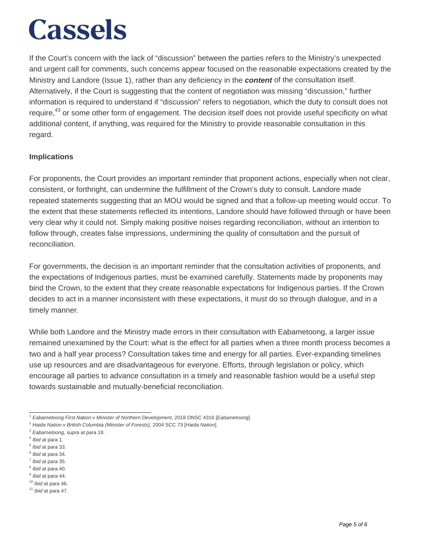If the Court's concern with the lack of "discussion" between the parties refers to the Ministry's unexpected and urgent call for comments, such concerns appear focused on the reasonable expectations created by the Ministry and Landore (Issue 1), rather than any deficiency in the **content** of the consultation itself. Alternatively, if the Court is suggesting that the content of negotiation was missing "discussion," further information is required to understand if "discussion" refers to negotiation, which the duty to consult does not require,<sup>43</sup> or some other form of engagement. The decision itself does not provide useful specificity on what additional content, if anything, was required for the Ministry to provide reasonable consultation in this regard.

### **Implications**

For proponents, the Court provides an important reminder that proponent actions, especially when not clear, consistent, or forthright, can undermine the fulfillment of the Crown's duty to consult. Landore made repeated statements suggesting that an MOU would be signed and that a follow-up meeting would occur. To the extent that these statements reflected its intentions, Landore should have followed through or have been very clear why it could not. Simply making positive noises regarding reconciliation, without an intention to follow through, creates false impressions, undermining the quality of consultation and the pursuit of reconciliation.

For governments, the decision is an important reminder that the consultation activities of proponents, and the expectations of Indigenous parties, must be examined carefully. Statements made by proponents may bind the Crown, to the extent that they create reasonable expectations for Indigenous parties. If the Crown decides to act in a manner inconsistent with these expectations, it must do so through dialogue, and in a timely manner.

While both Landore and the Ministry made errors in their consultation with Eabametoong, a larger issue remained unexamined by the Court: what is the effect for all parties when a three month process becomes a two and a half year process? Consultation takes time and energy for all parties. Ever-expanding timelines use up resources and are disadvantageous for everyone. Efforts, through legislation or policy, which encourage all parties to advance consultation in a timely and reasonable fashion would be a useful step towards sustainable and mutually-beneficial reconciliation.

\_\_\_\_\_\_\_\_\_\_\_\_\_\_\_\_\_\_\_\_\_\_\_\_\_\_\_\_\_

<sup>&</sup>lt;sup>1</sup> Eabametoong First Nation v Minister of Northern Development, 2018 ONSC 4316 [Eabametoong].

 $2$  Haida Nation v British Columbia (Minister of Forests), 2004 SCC 73 [Haida Nation].

 $3$  Eabametoong, supra at para 18.

<sup>&</sup>lt;sup>4</sup> Ibid at para 1.

<sup>&</sup>lt;sup>5</sup> Ibid at para 33.

 $6$  *lbid* at para 34.

<sup>&</sup>lt;sup>7</sup> Ibid at para 35.

<sup>&</sup>lt;sup>8</sup> Ibid at para 40.

<sup>&</sup>lt;sup>9</sup> Ibid at para 44. <sup>10</sup> Ibid at para 46.

<sup>&</sup>lt;sup>11</sup> Ibid at para 47.